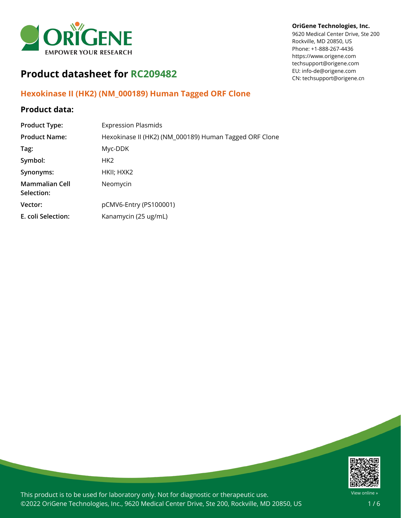

#### **OriGene Technologies, Inc.**

9620 Medical Center Drive, Ste 200 Rockville, MD 20850, US Phone: +1-888-267-4436 https://www.origene.com techsupport@origene.com EU: info-de@origene.com CN: techsupport@origene.cn

# **Product datasheet for RC209482**

### **Hexokinase II (HK2) (NM\_000189) Human Tagged ORF Clone**

### **Product data:**

| <b>Product Type:</b>                | <b>Expression Plasmids</b>                             |
|-------------------------------------|--------------------------------------------------------|
| <b>Product Name:</b>                | Hexokinase II (HK2) (NM_000189) Human Tagged ORF Clone |
| Tag:                                | Myc-DDK                                                |
| Symbol:                             | HK <sub>2</sub>                                        |
| Synonyms:                           | HKII; HXK2                                             |
| <b>Mammalian Cell</b><br>Selection: | Neomycin                                               |
| Vector:                             | pCMV6-Entry (PS100001)                                 |
| E. coli Selection:                  | Kanamycin (25 ug/mL)                                   |



This product is to be used for laboratory only. Not for diagnostic or therapeutic use. ©2022 OriGene Technologies, Inc., 9620 Medical Center Drive, Ste 200, Rockville, MD 20850, US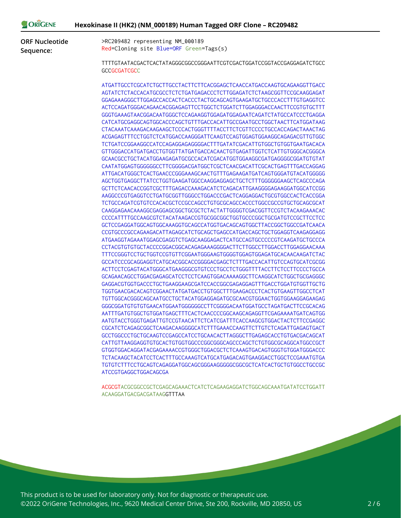| <b>ORIGENE</b> | Hexokinase II (HK2) (NM_000189) Human Tagged ORF Clone - RC209482 |
|----------------|-------------------------------------------------------------------|
|----------------|-------------------------------------------------------------------|

**ORF Nucleotide Sequence:**

>RC209482 representing NM\_000189 Red=Cloning site Blue=ORF Green=Tags(s)

TTTTGTAATACGACTCACTATAGGGCGGCCGGGAATTCGTCGACTGGATCCGGTACCGAGGAGATCTGCC **GCCGCGATCGCC** 

ATGATTGCCTCGCATCTGCTTGCCTACTTCTTCACGGAGCTCAACCATGACCAAGTGCAGAAGGTTGACC AGTATCTCTACCACATGCGCCTCTCTGATGAGACCCTCTTGGAGATCTCTAAGCGGTTCCGCAAGGAGAT GGAGAAAGGGCTTGGAGCCACCACTCACCCTACTGCAGCAGTGAAGATGCTGCCCACCTTTGTGAGGTCC ACTCCAGATGGGACAGAACACGGAGAGTTCCTGGCTCTGGATCTTGGAGGGACCAACTTCCGTGTGCTTT GGGTGAAAGTAACGGACAATGGGCTCCAGAAGGTGGAGATGGAGAATCAGATCTATGCCATCCCTGAGGA CATCATGCGAGGCAGTGGCACCCAGCTGTTTGACCACATTGCCGAATGCCTGGCTAACTTCATGGATAAG CTACAAATCAAAGACAAGAAGCTCCCACTGGGTTTTACCTTCTCGTTCCCCTGCCACCAGACTAAACTAG ACGAGAGTTTCCTGGTCTCATGGACCAAGGGATTCAAGTCCAGTGGAGTGGAAGGCAGAGACGTTGTGGC TCTGATCCGGAAGGCCATCCAGAGGAGAGGGGACTTTGATATCGACATTGTGGCTGTGGTGAATGACACA GTTGGGACCATGATGACCTGTGGTTATGATGACCACAACTGTGAGATTGGTCTCATTGTGGGCACGGGCA GCAACGCCTGCTACATGGAAGAGATGCGCCACATCGACATGGTGGAAGGCGATGAGGGGCGGATGTGTAT CAATATGGAGTGGGGGGCCTTCGGGGACGATGGCTCGCTCAACGACATTCGCACTGAGTTTGACCAGGAG ATTGACATGGGCTCACTGAACCCGGGAAAGCAACTGTTTGAGAAGATGATCAGTGGGATGTACATGGGGG AGCTGGTGAGGCTTATCCTGGTGAAGATGGCCAAGGAGGAGCTGCTCTTTGGGGGGAAGCTCAGCCCAGA GCTTCTCAACACCGGTCGCTTTGAGACCAAAGACATCTCAGACATTGAAGGGGAGAAGGATGGCATCCGG AAGGCCCGTGAGGTCCTGATGCGGTTGGGCCTGGACCCGACTCAGGAGGACTGCGTGGCCACTCACCGGA TCTGCCAGATCGTGTCCACACGCTCCGCCAGCCTGTGCGCAGCCACCCTGGCCGCCGTGCTGCAGCGCAT CAAGGAGAACAAAGGCGAGGAGCGGCTGCGCTCTACTATTGGGGTCGACGGTTCCGTCTACAAGAAACAC CCCCATTTTGCCAAGCGTCTACATAAGACCGTGCGGCGGCTGGTGCCCGGCTGCGATGTCCGCTTCCTCC GCTCCGAGGATGGCAGTGGCAAAGGTGCAGCCATGGTGACAGCAGTGGCTTACCGGCTGGCCGATCAACA CCGTGCCCGCCAGAAGACATTAGAGCATCTGCAGCTGAGCCATGACCAGCTGCTGGAGGTCAAGAGGAGG ATGAAGGTAGAAATGGAGCGAGGTCTGAGCAAGGAGACTCATGCCAGTGCCCCCGTCAAGATGCTGCCCA CCTACGTGTGTGCTACCCCGGACGGCACAGAGAAAGGGGACTTCTTGGCCTTGGACCTTGGAGGAACAAA TTTCCGGGTCCTGCTGGTCCGTGTTCGGAATGGGAAGTGGGGTGGAGTGGAGATGCACAACAAGATCTAC GCCATCCCGCAGGAGGTCATGCACGGCACCGGGGACGAGCTCTTTGACCACATTGTCCAGTGCATCGCGG ACTTCCTCGAGTACATGGGCATGAAGGGCGTGTCCCTGCCTCTGGGTTTTACCTTCTCCTTCCCCTGCCA GCAGAACAGCCTGGACGAGAGCATCCTCCTCAAGTGGACAAAAGGCTTCAAGGCATCTGGCTGCGAGGGC GAGGACGTGGTGACCCTGCTGAAGGAAGCGATCCACCGGCGAGAGGAGTTTGACCTGGATGTGGTTGCTG TGGTGAACGACACAGTCGGAACTATGATGACCTGTGGCTTTGAAGACCCTCACTGTGAAGTTGGCCTCAT TGTTGGCACGGGCAGCAATGCCTGCTACATGGAGGAGATGCGCAACGTGGAACTGGTGGAAGGAGAAGAG GGGCGGATGTGTGTGAACATGGAATGGGGGGCCTTCGGGGACAATGGATGCCTAGATGACTTCCGCACAG AATTTGATGTGGCTGTGGATGAGCTTTCACTCAACCCCGGCAAGCAGAGGTTCGAGAAAATGATCAGTGG AATGTACCTGGGTGAGATTGTCCGTAACATTCTCATCGATTTCACCAAGCGTGGACTACTCTTCCGAGGC CGCATCTCAGAGCGGCTCAAGACAAGGGGCATCTTTGAAACCAAGTTCTTGTCTCAGATTGAGAGTGACT GCCTGGCCCTGCTGCAAGTCCGAGCCATCCTGCAACACTTAGGGCTTGAGAGCACCTGTGACGACAGCAT CATTGTTAAGGAGGTGTGCACTGTGGTGGCCCGGCGGGCAGCCCAGCTCTGTGGCGCAGGCATGGCCGCT GTGGTGGACAGGATACGAGAAAACCGTGGGCTGGACGCTCTCAAAGTGACAGTGGGTGTGGATGGGACCC TCTACAAGCTACATCCTCACTTTGCCAAAGTCATGCATGAGACAGTGAAGGACCTGGCTCCGAAATGTGA TGTGTCTTTCCTGCAGTCAGAGGATGGCAGCGGGAAGGGGGCGGCGCTCATCACTGCTGTGGCCTGCCGC ATCCGTGAGGCTGGACAGCGA

ACGCGTACGCGGCCGCTCGAGCAGAAACTCATCTCAGAAGAGGATCTGGCAGCAAATGATATCCTGGATT ACAAGGATGACGACGATAAGGTTTAA

This product is to be used for laboratory only. Not for diagnostic or therapeutic use. ©2022 OriGene Technologies, Inc., 9620 Medical Center Drive, Ste 200, Rockville, MD 20850, US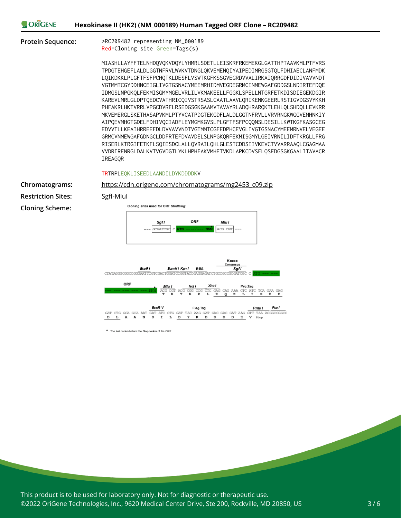**Hexokinase II (HK2) (NM\_000189) Human Tagged ORF Clone – RC209482**

ORIGENE

**Protein Sequence:** >RC209482 representing NM\_000189 Red=Cloning site Green=Tags(s)

> MIASHLLAYFFTELNHDQVQKVDQYLYHMRLSDETLLEISKRFRKEMEKGLGATTHPTAAVKMLPTFVRS TPDGTEHGEFLALDLGGTNFRVLWVKVTDNGLQKVEMENQIYAIPEDIMRGSGTQLFDHIAECLANFMDK LQIKDKKLPLGFTFSFPCHQTKLDESFLVSWTKGFKSSGVEGRDVVALIRKAIQRRGDFDIDIVAVVNDT VGTMMTCGYDDHNCEIGLIVGTGSNACYMEEMRHIDMVEGDEGRMCINMEWGAFGDDGSLNDIRTEFDQE IDMGSLNPGKQLFEKMISGMYMGELVRLILVKMAKEELLFGGKLSPELLNTGRFETKDISDIEGEKDGIR KAREVLMRLGLDPTQEDCVATHRICQIVSTRSASLCAATLAAVLQRIKENKGEERLRSTIGVDGSVYKKH PHFAKRLHKTVRRLVPGCDVRFLRSEDGSGKGAAMVTAVAYRLADQHRARQKTLEHLQLSHDQLLEVKRR MKVEMERGLSKETHASAPVKMLPTYVCATPDGTEKGDFLALDLGGTNFRVLLVRVRNGKWGGVEMHNKIY AIPQEVMHGTGDELFDHIVQCIADFLEYMGMKGVSLPLGFTFSFPCQQNSLDESILLKWTKGFKASGCEG EDVVTLLKEAIHRREEFDLDVVAVVNDTVGTMMTCGFEDPHCEVGLIVGTGSNACYMEEMRNVELVEGEE GRMCVNMEWGAFGDNGCLDDFRTEFDVAVDELSLNPGKQRFEKMISGMYLGEIVRNILIDFTKRGLLFRG RISERLKTRGIFETKFLSQIESDCLALLQVRAILQHLGLESTCDDSIIVKEVCTVVARRAAQLCGAGMAA VVDRIRENRGLDALKVTVGVDGTLYKLHPHFAKVMHETVKDLAPKCDVSFLQSEDGSGKGAALITAVACR IREAGQR

TRTRPLEQKLISEEDLAANDILDYKDDDDKV

**Chromatograms:** 

**Restriction Sites:** SgfI-MluI

**Cloning Scheme:**

| https://cdn.origene.com/chromatograms/mg2453 c09.zip |  |  |
|------------------------------------------------------|--|--|
|                                                      |  |  |





\* The last codon before the Stop codon of the ORF

This product is to be used for laboratory only. Not for diagnostic or therapeutic use. ©2022 OriGene Technologies, Inc., 9620 Medical Center Drive, Ste 200, Rockville, MD 20850, US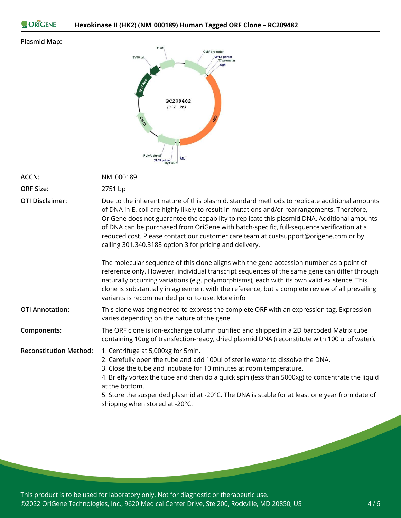```
ORIGENE
```
#### **Plasmid Map:**



| <b>ACCN:</b>                  | NM 000189                                                                                                                                                                                                                                                                                                                                                                                                                                                                                                                                   |
|-------------------------------|---------------------------------------------------------------------------------------------------------------------------------------------------------------------------------------------------------------------------------------------------------------------------------------------------------------------------------------------------------------------------------------------------------------------------------------------------------------------------------------------------------------------------------------------|
| <b>ORF Size:</b>              | 2751 bp                                                                                                                                                                                                                                                                                                                                                                                                                                                                                                                                     |
| <b>OTI Disclaimer:</b>        | Due to the inherent nature of this plasmid, standard methods to replicate additional amounts<br>of DNA in E. coli are highly likely to result in mutations and/or rearrangements. Therefore,<br>OriGene does not guarantee the capability to replicate this plasmid DNA. Additional amounts<br>of DNA can be purchased from OriGene with batch-specific, full-sequence verification at a<br>reduced cost. Please contact our customer care team at custsupport@origene.com or by<br>calling 301.340.3188 option 3 for pricing and delivery. |
|                               | The molecular sequence of this clone aligns with the gene accession number as a point of<br>reference only. However, individual transcript sequences of the same gene can differ through<br>naturally occurring variations (e.g. polymorphisms), each with its own valid existence. This<br>clone is substantially in agreement with the reference, but a complete review of all prevailing<br>variants is recommended prior to use. More info                                                                                              |
| <b>OTI Annotation:</b>        | This clone was engineered to express the complete ORF with an expression tag. Expression<br>varies depending on the nature of the gene.                                                                                                                                                                                                                                                                                                                                                                                                     |
| Components:                   | The ORF clone is ion-exchange column purified and shipped in a 2D barcoded Matrix tube<br>containing 10ug of transfection-ready, dried plasmid DNA (reconstitute with 100 ul of water).                                                                                                                                                                                                                                                                                                                                                     |
| <b>Reconstitution Method:</b> | 1. Centrifuge at 5,000xg for 5min.<br>2. Carefully open the tube and add 100ul of sterile water to dissolve the DNA.<br>3. Close the tube and incubate for 10 minutes at room temperature.<br>4. Briefly vortex the tube and then do a quick spin (less than 5000xg) to concentrate the liquid<br>at the bottom.<br>5. Store the suspended plasmid at -20°C. The DNA is stable for at least one year from date of<br>shipping when stored at -20°C.                                                                                         |

This product is to be used for laboratory only. Not for diagnostic or therapeutic use. ©2022 OriGene Technologies, Inc., 9620 Medical Center Drive, Ste 200, Rockville, MD 20850, US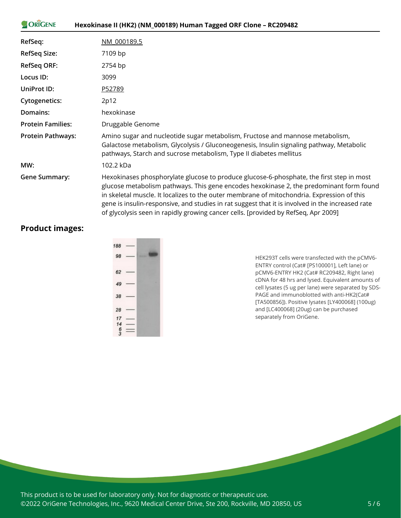| <b>ORIGENE</b>           | Hexokinase II (HK2) (NM_000189) Human Tagged ORF Clone – RC209482                                                                                                                                                                                                                                                                                                                                                                                                           |  |  |
|--------------------------|-----------------------------------------------------------------------------------------------------------------------------------------------------------------------------------------------------------------------------------------------------------------------------------------------------------------------------------------------------------------------------------------------------------------------------------------------------------------------------|--|--|
| RefSeq:                  | NM 000189.5                                                                                                                                                                                                                                                                                                                                                                                                                                                                 |  |  |
| <b>RefSeq Size:</b>      | 7109 bp                                                                                                                                                                                                                                                                                                                                                                                                                                                                     |  |  |
| <b>RefSeq ORF:</b>       | 2754 bp                                                                                                                                                                                                                                                                                                                                                                                                                                                                     |  |  |
| Locus ID:                | 3099                                                                                                                                                                                                                                                                                                                                                                                                                                                                        |  |  |
| UniProt ID:              | P52789                                                                                                                                                                                                                                                                                                                                                                                                                                                                      |  |  |
| <b>Cytogenetics:</b>     | 2p12                                                                                                                                                                                                                                                                                                                                                                                                                                                                        |  |  |
| Domains:                 | hexokinase                                                                                                                                                                                                                                                                                                                                                                                                                                                                  |  |  |
| <b>Protein Families:</b> | Druggable Genome                                                                                                                                                                                                                                                                                                                                                                                                                                                            |  |  |
| <b>Protein Pathways:</b> | Amino sugar and nucleotide sugar metabolism, Fructose and mannose metabolism,<br>Galactose metabolism, Glycolysis / Gluconeogenesis, Insulin signaling pathway, Metabolic<br>pathways, Starch and sucrose metabolism, Type II diabetes mellitus                                                                                                                                                                                                                             |  |  |
| MW:                      | 102.2 kDa                                                                                                                                                                                                                                                                                                                                                                                                                                                                   |  |  |
| <b>Gene Summary:</b>     | Hexokinases phosphorylate glucose to produce glucose-6-phosphate, the first step in most<br>glucose metabolism pathways. This gene encodes hexokinase 2, the predominant form found<br>in skeletal muscle. It localizes to the outer membrane of mitochondria. Expression of this<br>gene is insulin-responsive, and studies in rat suggest that it is involved in the increased rate<br>of glycolysis seen in rapidly growing cancer cells. [provided by RefSeq, Apr 2009] |  |  |

## **Product images:**

 $\mathbf{v} = \mathbf{v}$ 

| 188           |  |  |
|---------------|--|--|
| 98            |  |  |
| 62            |  |  |
| 49            |  |  |
| 38            |  |  |
| 28            |  |  |
| 17            |  |  |
| 14            |  |  |
| $\frac{6}{2}$ |  |  |

HEK293T cells were transfected with the pCMV6- ENTRY control (Cat# [PS100001], Left lane) or pCMV6-ENTRY HK2 (Cat# RC209482, Right lane) cDNA for 48 hrs and lysed. Equivalent amounts of cell lysates (5 ug per lane) were separated by SDS-PAGE and immunoblotted with anti-HK2(Cat# [TA500856]). Positive lysates [LY400068] (100ug) and [LC400068] (20ug) can be purchased separately from OriGene.

This product is to be used for laboratory only. Not for diagnostic or therapeutic use. ©2022 OriGene Technologies, Inc., 9620 Medical Center Drive, Ste 200, Rockville, MD 20850, US